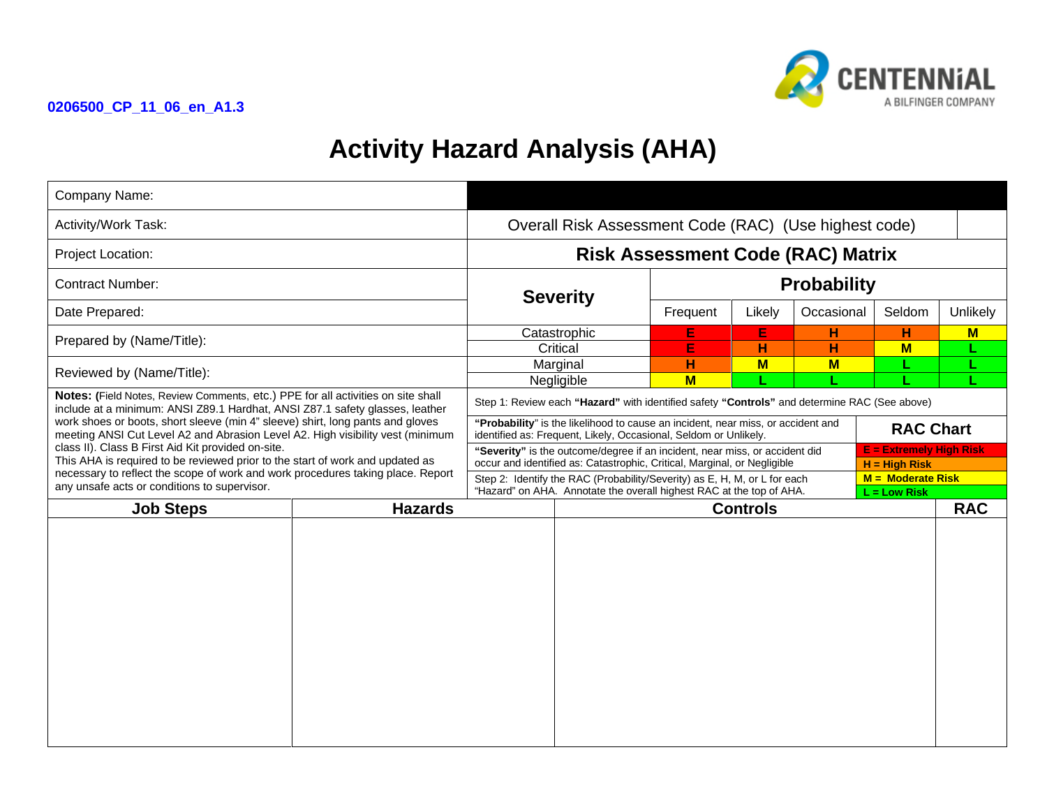



## **Activity Hazard Analysis (AHA)**

| Company Name:                                                                                                                                                                                                                                                                                                                                                                                                                                                                                                                                                                                                  |                |                                                                                                                                                                                                              |                 |                    |            |        |          |            |
|----------------------------------------------------------------------------------------------------------------------------------------------------------------------------------------------------------------------------------------------------------------------------------------------------------------------------------------------------------------------------------------------------------------------------------------------------------------------------------------------------------------------------------------------------------------------------------------------------------------|----------------|--------------------------------------------------------------------------------------------------------------------------------------------------------------------------------------------------------------|-----------------|--------------------|------------|--------|----------|------------|
| Activity/Work Task:                                                                                                                                                                                                                                                                                                                                                                                                                                                                                                                                                                                            |                | Overall Risk Assessment Code (RAC) (Use highest code)                                                                                                                                                        |                 |                    |            |        |          |            |
| Project Location:                                                                                                                                                                                                                                                                                                                                                                                                                                                                                                                                                                                              |                | <b>Risk Assessment Code (RAC) Matrix</b>                                                                                                                                                                     |                 |                    |            |        |          |            |
| <b>Contract Number:</b>                                                                                                                                                                                                                                                                                                                                                                                                                                                                                                                                                                                        |                |                                                                                                                                                                                                              |                 | <b>Probability</b> |            |        |          |            |
| Date Prepared:                                                                                                                                                                                                                                                                                                                                                                                                                                                                                                                                                                                                 |                | <b>Severity</b>                                                                                                                                                                                              | Frequent        | Likely             | Occasional | Seldom | Unlikely |            |
| Prepared by (Name/Title):                                                                                                                                                                                                                                                                                                                                                                                                                                                                                                                                                                                      |                | Catastrophic<br>Critical                                                                                                                                                                                     |                 | E<br>Е             | E<br>н     | н<br>н | н<br>$M$ | M          |
| Reviewed by (Name/Title):                                                                                                                                                                                                                                                                                                                                                                                                                                                                                                                                                                                      |                | Marginal                                                                                                                                                                                                     |                 | н                  | $M$        | $M$    |          |            |
| Notes: (Field Notes, Review Comments, etc.) PPE for all activities on site shall<br>include at a minimum: ANSI Z89.1 Hardhat, ANSI Z87.1 safety glasses, leather<br>work shoes or boots, short sleeve (min 4" sleeve) shirt, long pants and gloves<br>meeting ANSI Cut Level A2 and Abrasion Level A2. High visibility vest (minimum<br>class II). Class B First Aid Kit provided on-site.<br>This AHA is required to be reviewed prior to the start of work and updated as<br>necessary to reflect the scope of work and work procedures taking place. Report<br>any unsafe acts or conditions to supervisor. |                | $M$<br>Negligible<br>Step 1: Review each "Hazard" with identified safety "Controls" and determine RAC (See above)                                                                                            |                 |                    |            |        |          |            |
|                                                                                                                                                                                                                                                                                                                                                                                                                                                                                                                                                                                                                |                | "Probability" is the likelihood to cause an incident, near miss, or accident and<br><b>RAC Chart</b><br>identified as: Frequent, Likely, Occasional, Seldom or Unlikely.                                     |                 |                    |            |        |          |            |
|                                                                                                                                                                                                                                                                                                                                                                                                                                                                                                                                                                                                                |                | <b>E</b> = Extremely High Risk<br>"Severity" is the outcome/degree if an incident, near miss, or accident did<br>occur and identified as: Catastrophic, Critical, Marginal, or Negligible<br>$H = High Risk$ |                 |                    |            |        |          |            |
|                                                                                                                                                                                                                                                                                                                                                                                                                                                                                                                                                                                                                |                | Step 2: Identify the RAC (Probability/Severity) as E, H, M, or L for each<br>$M =$ Moderate Risk<br>"Hazard" on AHA. Annotate the overall highest RAC at the top of AHA.<br>$L = Low Risk$                   |                 |                    |            |        |          |            |
| <b>Job Steps</b>                                                                                                                                                                                                                                                                                                                                                                                                                                                                                                                                                                                               | <b>Hazards</b> |                                                                                                                                                                                                              | <b>Controls</b> |                    |            |        |          | <b>RAC</b> |
|                                                                                                                                                                                                                                                                                                                                                                                                                                                                                                                                                                                                                |                |                                                                                                                                                                                                              |                 |                    |            |        |          |            |